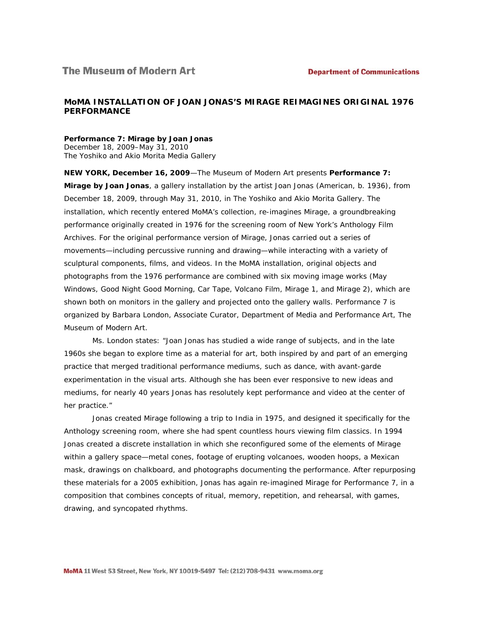# **MoMA INSTALLATION OF JOAN JONAS'S** *MIRAGE* **REIMAGINES ORIGINAL 1976 PERFORMANCE**

#### *Performance 7:* **Mirage** *by Joan Jonas*

December 18, 2009–May 31, 2010 The Yoshiko and Akio Morita Media Gallery

**NEW YORK, December 16, 2009**—The Museum of Modern Art presents *Performance 7:*  **Mirage** *by Joan Jonas*, a gallery installation by the artist Joan Jonas (American, b. 1936), from December 18, 2009, through May 31, 2010, in The Yoshiko and Akio Morita Gallery. The installation, which recently entered MoMA's collection, re-imagines *Mirage*, a groundbreaking performance originally created in 1976 for the screening room of New York's Anthology Film Archives. For the original performance version of *Mirage*, Jonas carried out a series of movements—including percussive running and drawing—while interacting with a variety of sculptural components, films, and videos. In the MoMA installation, original objects and photographs from the 1976 performance are combined with six moving image works (*May Windows*, *Good Night Good Morning*, *Car Tape*, *Volcano Film*, *Mirage 1*, and *Mirage 2*), which are shown both on monitors in the gallery and projected onto the gallery walls. *Performance 7* is organized by Barbara London, Associate Curator, Department of Media and Performance Art, The Museum of Modern Art.

Ms. London states: "Joan Jonas has studied a wide range of subjects, and in the late 1960s she began to explore time as a material for art, both inspired by and part of an emerging practice that merged traditional performance mediums, such as dance, with avant-garde experimentation in the visual arts. Although she has been ever responsive to new ideas and mediums, for nearly 40 years Jonas has resolutely kept performance and video at the center of her practice."

Jonas created *Mirage* following a trip to India in 1975, and designed it specifically for the Anthology screening room, where she had spent countless hours viewing film classics. In 1994 Jonas created a discrete installation in which she reconfigured some of the elements of *Mirage* within a gallery space—metal cones, footage of erupting volcanoes, wooden hoops, a Mexican mask, drawings on chalkboard, and photographs documenting the performance. After repurposing these materials for a 2005 exhibition, Jonas has again re-imagined *Mirage* for *Performance 7*, in a composition that combines concepts of ritual, memory, repetition, and rehearsal, with games, drawing, and syncopated rhythms.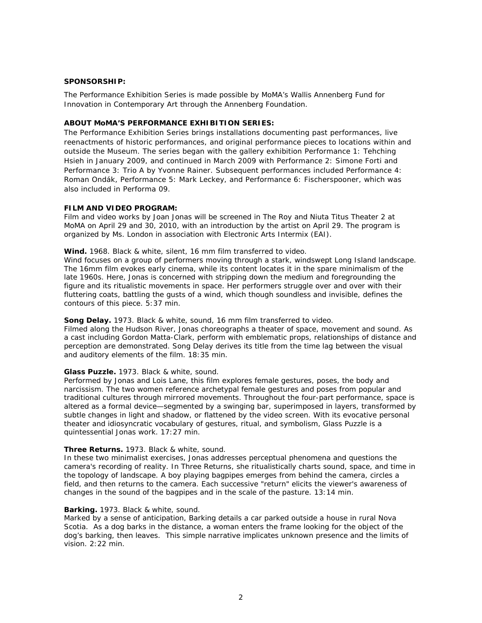### **SPONSORSHIP:**

The Performance Exhibition Series is made possible by MoMA's Wallis Annenberg Fund for Innovation in Contemporary Art through the Annenberg Foundation.

## **ABOUT MoMA'S PERFORMANCE EXHIBITION SERIES:**

The Performance Exhibition Series brings installations documenting past performances, live reenactments of historic performances, and original performance pieces to locations within and outside the Museum. The series began with the gallery exhibition *Performance 1: Tehching Hsieh* in January 2009, and continued in March 2009 with *Performance 2: Simone Forti* and *Performance 3:* Trio A *by Yvonne Rainer*. Subsequent performances included *Performance 4: Roman Ondák*, *Performance 5: Mark Leckey*, and *Performance 6: Fischerspooner*, which was also included in Performa 09.

#### **FILM AND VIDEO PROGRAM:**

Film and video works by Joan Jonas will be screened in The Roy and Niuta Titus Theater 2 at MoMA on April 29 and 30, 2010, with an introduction by the artist on April 29. The program is organized by Ms. London in association with Electronic Arts Intermix (EAI).

#### **Wind.** 1968. Black & white, silent, 16 mm film transferred to video.

*Wind* focuses on a group of performers moving through a stark, windswept Long Island landscape. The 16mm film evokes early cinema, while its content locates it in the spare minimalism of the late 1960s. Here, Jonas is concerned with stripping down the medium and foregrounding the figure and its ritualistic movements in space. Her performers struggle over and over with their fluttering coats, battling the gusts of a wind, which though soundless and invisible, defines the contours of this piece. 5:37 min.

### **Song Delay.** 1973. Black & white, sound, 16 mm film transferred to video.

Filmed along the Hudson River, Jonas choreographs a theater of space, movement and sound. As a cast including Gordon Matta-Clark, perform with emblematic props, relationships of distance and perception are demonstrated. *Song Delay* derives its title from the time lag between the visual and auditory elements of the film. 18:35 min*.*

### **Glass Puzzle.** 1973. Black & white, sound.

Performed by Jonas and Lois Lane, this film explores female gestures, poses, the body and narcissism. The two women reference archetypal female gestures and poses from popular and traditional cultures through mirrored movements. Throughout the four-part performance, space is altered as a formal device—segmented by a swinging bar, superimposed in layers, transformed by subtle changes in light and shadow, or flattened by the video screen. With its evocative personal theater and idiosyncratic vocabulary of gestures, ritual, and symbolism, *Glass Puzzle* is a quintessential Jonas work. 17:27 min.

### **Three Returns.** 1973. Black & white, sound.

In these two minimalist exercises, Jonas addresses perceptual phenomena and questions the camera's recording of reality. In *Three Returns,* she ritualistically charts sound, space, and time in the topology of landscape. A boy playing bagpipes emerges from behind the camera, circles a field, and then returns to the camera. Each successive "return" elicits the viewer's awareness of changes in the sound of the bagpipes and in the scale of the pasture. 13:14 min.

#### **Barking.** 1973. Black & white, sound.

Marked by a sense of anticipation, *Barking* details a car parked outside a house in rural Nova Scotia. As a dog barks in the distance, a woman enters the frame looking for the object of the dog's barking, then leaves. This simple narrative implicates unknown presence and the limits of vision. 2:22 min.